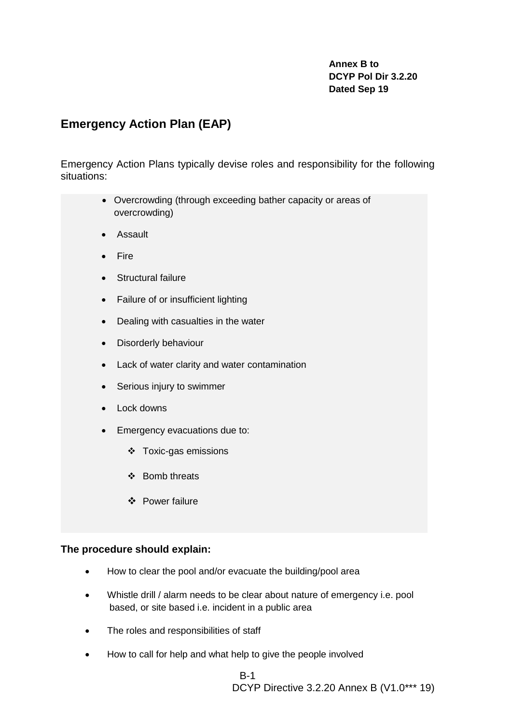# **Annex B to DCYP Pol Dir 3.2.20 Dated Sep 19**

# **Emergency Action Plan (EAP)**

Emergency Action Plans typically devise roles and responsibility for the following situations:

- Overcrowding (through exceeding bather capacity or areas of overcrowding)
- Assault
- Fire
- Structural failure
- Failure of or insufficient lighting
- Dealing with casualties in the water
- Disorderly behaviour
- Lack of water clarity and water contamination
- Serious injury to swimmer
- Lock downs
- Emergency evacuations due to:
	- ❖ Toxic-gas emissions
	- ❖ Bomb threats
	- ❖ Power failure

### **The procedure should explain:**

- How to clear the pool and/or evacuate the building/pool area
- Whistle drill / alarm needs to be clear about nature of emergency i.e. pool based, or site based i.e. incident in a public area
- The roles and responsibilities of staff
- How to call for help and what help to give the people involved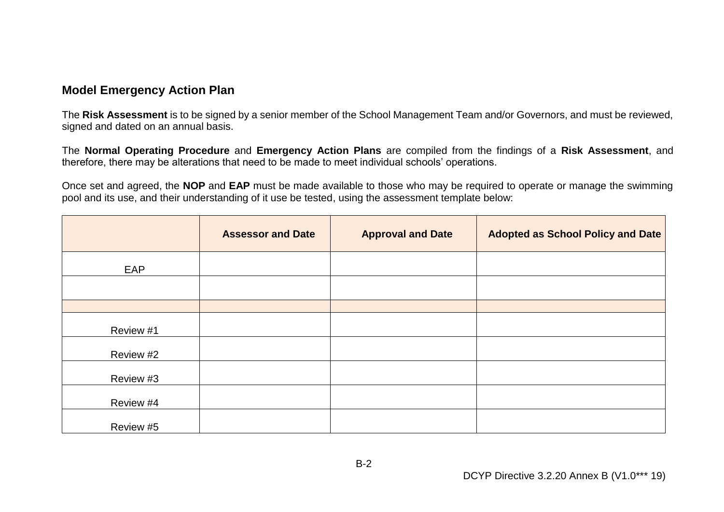# **Model Emergency Action Plan**

The **Risk Assessment** is to be signed by a senior member of the School Management Team and/or Governors, and must be reviewed, signed and dated on an annual basis.

The **Normal Operating Procedure** and **Emergency Action Plans** are compiled from the findings of a **Risk Assessment**, and therefore, there may be alterations that need to be made to meet individual schools' operations.

Once set and agreed, the **NOP** and **EAP** must be made available to those who may be required to operate or manage the swimming pool and its use, and their understanding of it use be tested, using the assessment template below:

|           | <b>Assessor and Date</b> | <b>Approval and Date</b> | Adopted as School Policy and Date |
|-----------|--------------------------|--------------------------|-----------------------------------|
| EAP       |                          |                          |                                   |
|           |                          |                          |                                   |
|           |                          |                          |                                   |
| Review #1 |                          |                          |                                   |
| Review #2 |                          |                          |                                   |
| Review #3 |                          |                          |                                   |
| Review #4 |                          |                          |                                   |
| Review #5 |                          |                          |                                   |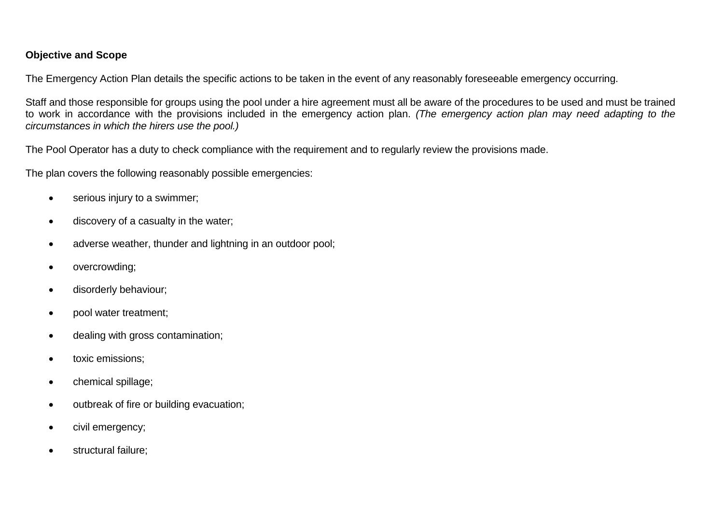# **Objective and Scope**

The Emergency Action Plan details the specific actions to be taken in the event of any reasonably foreseeable emergency occurring.

Staff and those responsible for groups using the pool under a hire agreement must all be aware of the procedures to be used and must be trained to work in accordance with the provisions included in the emergency action plan. *(The emergency action plan may need adapting to the circumstances in which the hirers use the pool.)* 

The Pool Operator has a duty to check compliance with the requirement and to regularly review the provisions made.

The plan covers the following reasonably possible emergencies:

- serious injury to a swimmer;
- discovery of a casualty in the water;
- adverse weather, thunder and lightning in an outdoor pool;
- overcrowding;
- disorderly behaviour;
- pool water treatment;
- dealing with gross contamination;
- toxic emissions;
- chemical spillage:
- outbreak of fire or building evacuation;
- civil emergency;
- structural failure;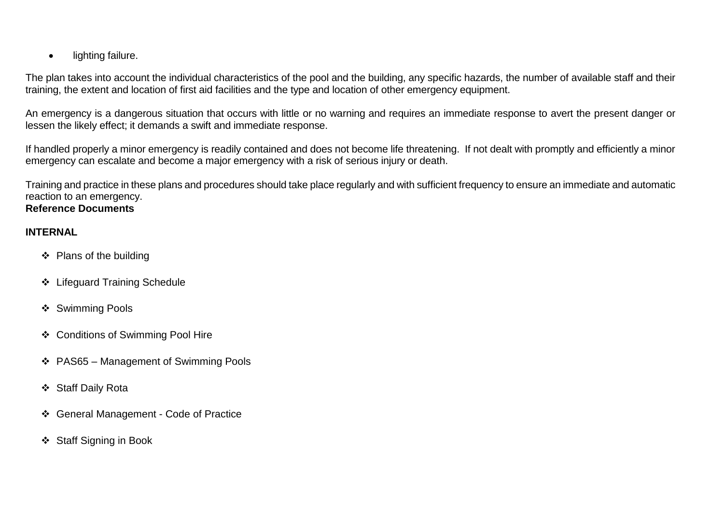• lighting failure.

The plan takes into account the individual characteristics of the pool and the building, any specific hazards, the number of available staff and their training, the extent and location of first aid facilities and the type and location of other emergency equipment.

An emergency is a dangerous situation that occurs with little or no warning and requires an immediate response to avert the present danger or lessen the likely effect; it demands a swift and immediate response.

If handled properly a minor emergency is readily contained and does not become life threatening. If not dealt with promptly and efficiently a minor emergency can escalate and become a major emergency with a risk of serious injury or death.

Training and practice in these plans and procedures should take place regularly and with sufficient frequency to ensure an immediate and automatic reaction to an emergency.

# **Reference Documents**

# **INTERNAL**

- ❖ Plans of the building
- ❖ Lifeguard Training Schedule
- ❖ Swimming Pools
- ❖ Conditions of Swimming Pool Hire
- ❖ PAS65 Management of Swimming Pools
- ❖ Staff Daily Rota
- ❖ General Management Code of Practice
- ❖ Staff Signing in Book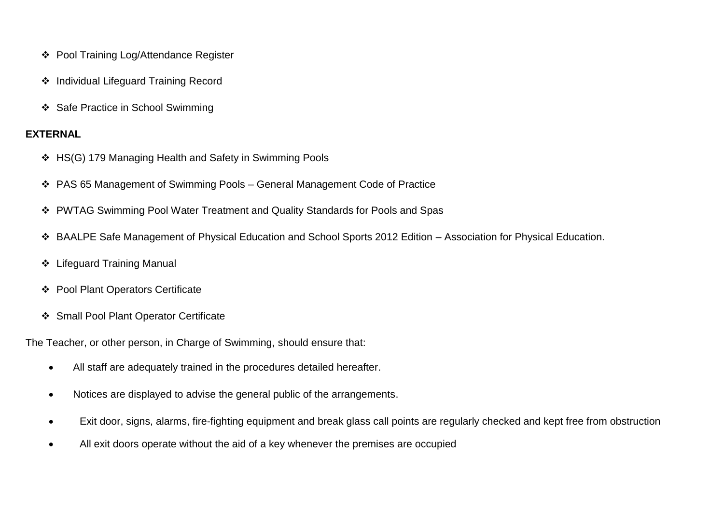- ❖ Pool Training Log/Attendance Register
- ❖ Individual Lifeguard Training Record
- ❖ Safe Practice in School Swimming

# **EXTERNAL**

- ❖ HS(G) 179 Managing Health and Safety in Swimming Pools
- ❖ PAS 65 Management of Swimming Pools General Management Code of Practice
- ❖ PWTAG Swimming Pool Water Treatment and Quality Standards for Pools and Spas
- ❖ BAALPE Safe Management of Physical Education and School Sports 2012 Edition Association for Physical Education.
- ❖ Lifeguard Training Manual
- ❖ Pool Plant Operators Certificate
- ❖ Small Pool Plant Operator Certificate

The Teacher, or other person, in Charge of Swimming, should ensure that:

- All staff are adequately trained in the procedures detailed hereafter.
- Notices are displayed to advise the general public of the arrangements.
- Exit door, signs, alarms, fire-fighting equipment and break glass call points are regularly checked and kept free from obstruction
- All exit doors operate without the aid of a key whenever the premises are occupied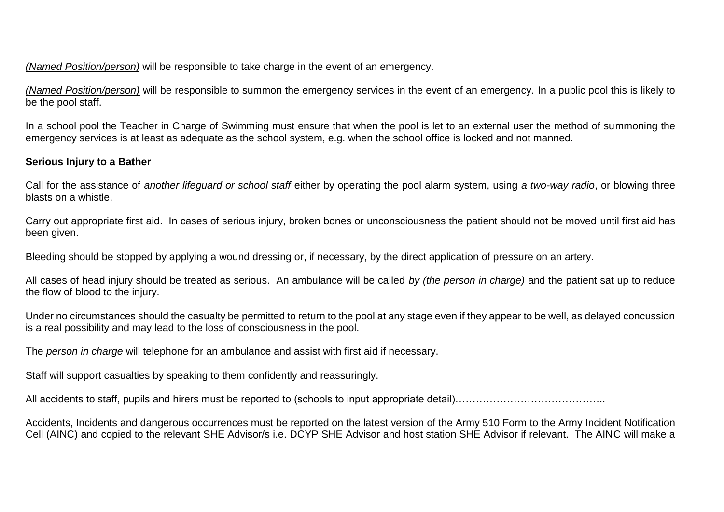*(Named Position/person)* will be responsible to take charge in the event of an emergency.

*(Named Position/person)* will be responsible to summon the emergency services in the event of an emergency. In a public pool this is likely to be the pool staff.

In a school pool the Teacher in Charge of Swimming must ensure that when the pool is let to an external user the method of summoning the emergency services is at least as adequate as the school system, e.g. when the school office is locked and not manned.

# **Serious Injury to a Bather**

Call for the assistance of *another lifeguard or school staff* either by operating the pool alarm system, using *a two-way radio*, or blowing three blasts on a whistle.

Carry out appropriate first aid. In cases of serious injury, broken bones or unconsciousness the patient should not be moved until first aid has been given.

Bleeding should be stopped by applying a wound dressing or, if necessary, by the direct application of pressure on an artery.

All cases of head injury should be treated as serious. An ambulance will be called *by (the person in charge)* and the patient sat up to reduce the flow of blood to the injury.

Under no circumstances should the casualty be permitted to return to the pool at any stage even if they appear to be well, as delayed concussion is a real possibility and may lead to the loss of consciousness in the pool.

The *person in charge* will telephone for an ambulance and assist with first aid if necessary.

Staff will support casualties by speaking to them confidently and reassuringly.

All accidents to staff, pupils and hirers must be reported to (schools to input appropriate detail)…………………………………………

Accidents, Incidents and dangerous occurrences must be reported on the latest version of the Army 510 Form to the Army Incident Notification Cell (AINC) and copied to the relevant SHE Advisor/s i.e. DCYP SHE Advisor and host station SHE Advisor if relevant. The AINC will make a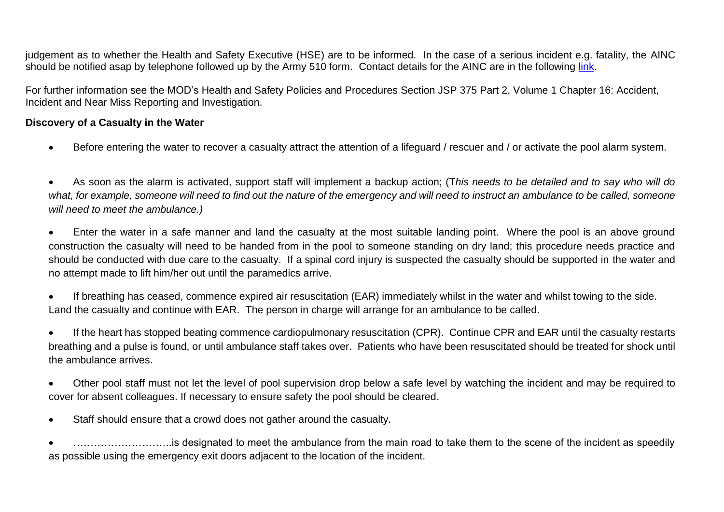judgement as to whether the Health and Safety Executive (HSE) are to be informed. In the case of a serious incident e.g. fatality, the AINC should be notified asap by telephone followed up by the Army 510 form. Contact details for the AINC are in the following [link.](http://defenceintranet.diif.r.mil.uk/Organisations/Orgs/Army/Organisations/Orgs/clf/Organisations/Orgs/coslf/Organisations/Orgs/CESOA/Pages/AINC.aspx)

For further information see the MOD's Health and Safety Policies and Procedures Section JSP 375 Part 2, Volume 1 Chapter 16: Accident, Incident and Near Miss Reporting and Investigation.

### **Discovery of a Casualty in the Water**

• Before entering the water to recover a casualty attract the attention of a lifeguard / rescuer and / or activate the pool alarm system.

• As soon as the alarm is activated, support staff will implement a backup action; (T*his needs to be detailed and to say who will do what, for example, someone will need to find out the nature of the emergency and will need to instruct an ambulance to be called, someone will need to meet the ambulance.)* 

• Enter the water in a safe manner and land the casualty at the most suitable landing point. Where the pool is an above ground construction the casualty will need to be handed from in the pool to someone standing on dry land; this procedure needs practice and should be conducted with due care to the casualty. If a spinal cord injury is suspected the casualty should be supported in the water and no attempt made to lift him/her out until the paramedics arrive.

If breathing has ceased, commence expired air resuscitation (EAR) immediately whilst in the water and whilst towing to the side. Land the casualty and continue with EAR. The person in charge will arrange for an ambulance to be called.

• If the heart has stopped beating commence cardiopulmonary resuscitation (CPR). Continue CPR and EAR until the casualty restarts breathing and a pulse is found, or until ambulance staff takes over. Patients who have been resuscitated should be treated for shock until the ambulance arrives.

- Other pool staff must not let the level of pool supervision drop below a safe level by watching the incident and may be required to cover for absent colleagues. If necessary to ensure safety the pool should be cleared.
- Staff should ensure that a crowd does not gather around the casualty.

• ………………………..is designated to meet the ambulance from the main road to take them to the scene of the incident as speedily as possible using the emergency exit doors adjacent to the location of the incident.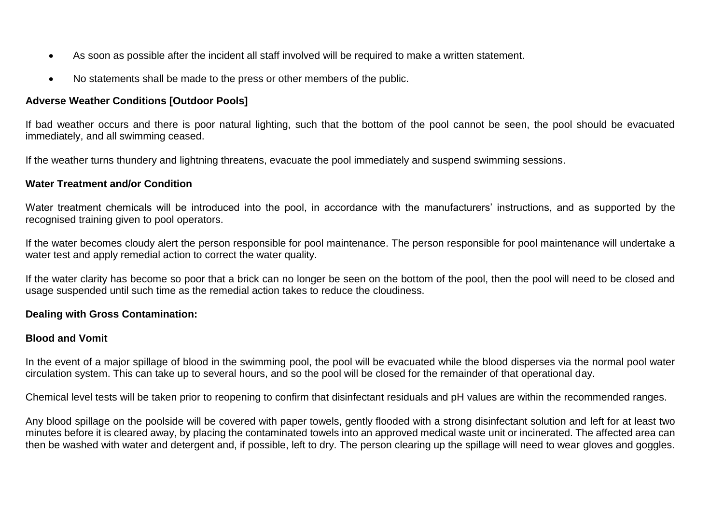- As soon as possible after the incident all staff involved will be required to make a written statement.
- No statements shall be made to the press or other members of the public.

# **Adverse Weather Conditions [Outdoor Pools]**

If bad weather occurs and there is poor natural lighting, such that the bottom of the pool cannot be seen, the pool should be evacuated immediately, and all swimming ceased.

If the weather turns thundery and lightning threatens, evacuate the pool immediately and suspend swimming sessions.

### **Water Treatment and/or Condition**

Water treatment chemicals will be introduced into the pool, in accordance with the manufacturers' instructions, and as supported by the recognised training given to pool operators.

If the water becomes cloudy alert the person responsible for pool maintenance. The person responsible for pool maintenance will undertake a water test and apply remedial action to correct the water quality.

If the water clarity has become so poor that a brick can no longer be seen on the bottom of the pool, then the pool will need to be closed and usage suspended until such time as the remedial action takes to reduce the cloudiness.

#### **Dealing with Gross Contamination:**

# **Blood and Vomit**

In the event of a major spillage of blood in the swimming pool, the pool will be evacuated while the blood disperses via the normal pool water circulation system. This can take up to several hours, and so the pool will be closed for the remainder of that operational day.

Chemical level tests will be taken prior to reopening to confirm that disinfectant residuals and pH values are within the recommended ranges.

Any blood spillage on the poolside will be covered with paper towels, gently flooded with a strong disinfectant solution and left for at least two minutes before it is cleared away, by placing the contaminated towels into an approved medical waste unit or incinerated. The affected area can then be washed with water and detergent and, if possible, left to dry. The person clearing up the spillage will need to wear gloves and goggles.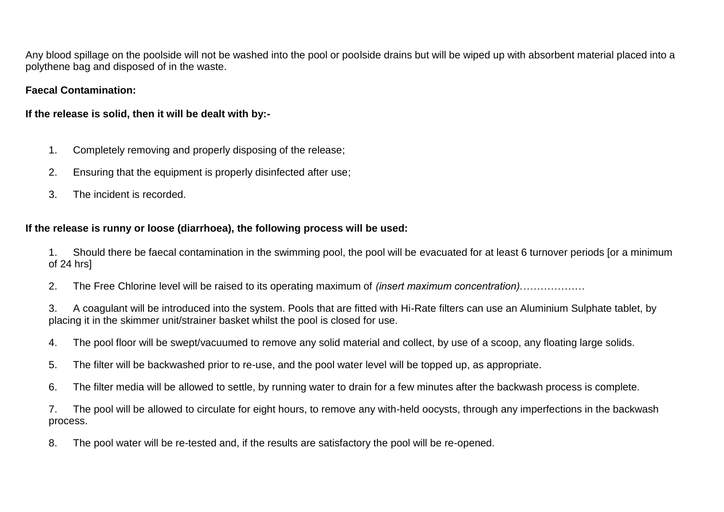Any blood spillage on the poolside will not be washed into the pool or poolside drains but will be wiped up with absorbent material placed into a polythene bag and disposed of in the waste.

# **Faecal Contamination:**

# **If the release is solid, then it will be dealt with by:-**

- 1. Completely removing and properly disposing of the release;
- 2. Ensuring that the equipment is properly disinfected after use;
- 3. The incident is recorded.

# **If the release is runny or loose (diarrhoea), the following process will be used:**

1. Should there be faecal contamination in the swimming pool, the pool will be evacuated for at least 6 turnover periods [or a minimum of 24 hrs]

2. The Free Chlorine level will be raised to its operating maximum of *(insert maximum concentration).………………*

3. A coagulant will be introduced into the system. Pools that are fitted with Hi-Rate filters can use an Aluminium Sulphate tablet, by placing it in the skimmer unit/strainer basket whilst the pool is closed for use.

- 4. The pool floor will be swept/vacuumed to remove any solid material and collect, by use of a scoop, any floating large solids.
- 5. The filter will be backwashed prior to re-use, and the pool water level will be topped up, as appropriate.
- 6. The filter media will be allowed to settle, by running water to drain for a few minutes after the backwash process is complete.

7. The pool will be allowed to circulate for eight hours, to remove any with-held oocysts, through any imperfections in the backwash process.

8. The pool water will be re-tested and, if the results are satisfactory the pool will be re-opened.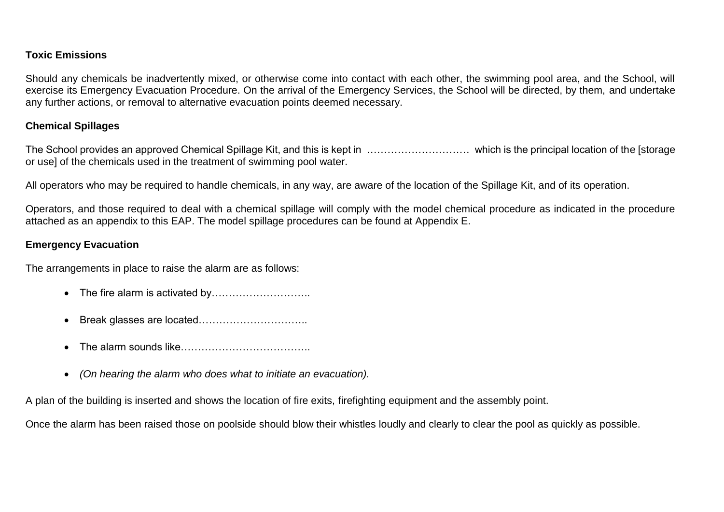# **Toxic Emissions**

Should any chemicals be inadvertently mixed, or otherwise come into contact with each other, the swimming pool area, and the School, will exercise its Emergency Evacuation Procedure. On the arrival of the Emergency Services, the School will be directed, by them, and undertake any further actions, or removal to alternative evacuation points deemed necessary.

### **Chemical Spillages**

The School provides an approved Chemical Spillage Kit, and this is kept in ………………………… which is the principal location of the [storage or use] of the chemicals used in the treatment of swimming pool water.

All operators who may be required to handle chemicals, in any way, are aware of the location of the Spillage Kit, and of its operation.

Operators, and those required to deal with a chemical spillage will comply with the model chemical procedure as indicated in the procedure attached as an appendix to this EAP. The model spillage procedures can be found at Appendix E.

### **Emergency Evacuation**

The arrangements in place to raise the alarm are as follows:

- The fire alarm is activated by…………………………
- Break glasses are located…………………………..
- The alarm sounds like………………………………..
- *(On hearing the alarm who does what to initiate an evacuation).*

A plan of the building is inserted and shows the location of fire exits, firefighting equipment and the assembly point.

Once the alarm has been raised those on poolside should blow their whistles loudly and clearly to clear the pool as quickly as possible.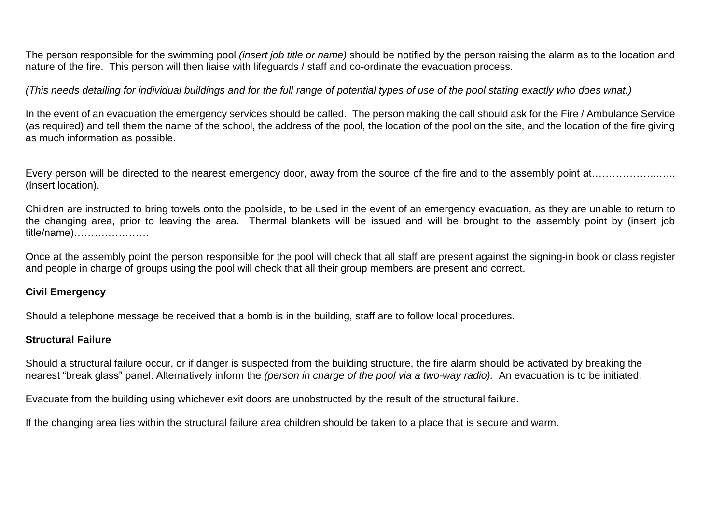The person responsible for the swimming pool *(insert job title or name)* should be notified by the person raising the alarm as to the location and nature of the fire. This person will then liaise with lifeguards / staff and co-ordinate the evacuation process.

*(This needs detailing for individual buildings and for the full range of potential types of use of the pool stating exactly who does what.)*

In the event of an evacuation the emergency services should be called. The person making the call should ask for the Fire / Ambulance Service (as required) and tell them the name of the school, the address of the pool, the location of the pool on the site, and the location of the fire giving as much information as possible.

Every person will be directed to the nearest emergency door, away from the source of the fire and to the assembly point at…………………… (Insert location).

Children are instructed to bring towels onto the poolside, to be used in the event of an emergency evacuation, as they are unable to return to the changing area, prior to leaving the area. Thermal blankets will be issued and will be brought to the assembly point by (insert job title/name)………………….

Once at the assembly point the person responsible for the pool will check that all staff are present against the signing-in book or class register and people in charge of groups using the pool will check that all their group members are present and correct.

# **Civil Emergency**

Should a telephone message be received that a bomb is in the building, staff are to follow local procedures.

# **Structural Failure**

Should a structural failure occur, or if danger is suspected from the building structure, the fire alarm should be activated by breaking the nearest "break glass" panel. Alternatively inform the *(person in charge of the pool via a two-way radio).* An evacuation is to be initiated.

Evacuate from the building using whichever exit doors are unobstructed by the result of the structural failure.

If the changing area lies within the structural failure area children should be taken to a place that is secure and warm.